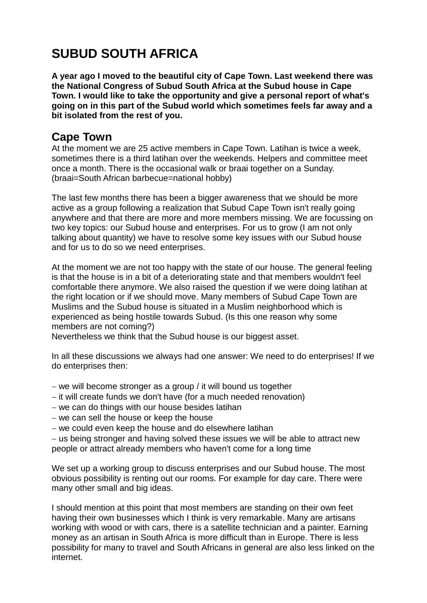## **SUBUD SOUTH AFRICA**

**A year ago I moved to the beautiful city of Cape Town. Last weekend there was the National Congress of Subud South Africa at the Subud house in Cape Town. I would like to take the opportunity and give a personal report of what's going on in this part of the Subud world which sometimes feels far away and a bit isolated from the rest of you.**

## **Cape Town**

At the moment we are 25 active members in Cape Town. Latihan is twice a week, sometimes there is a third latihan over the weekends. Helpers and committee meet once a month. There is the occasional walk or braai together on a Sunday. (braai=South African barbecue=national hobby)

The last few months there has been a bigger awareness that we should be more active as a group following a realization that Subud Cape Town isn't really going anywhere and that there are more and more members missing. We are focussing on two key topics: our Subud house and enterprises. For us to grow (I am not only talking about quantity) we have to resolve some key issues with our Subud house and for us to do so we need enterprises.

At the moment we are not too happy with the state of our house. The general feeling is that the house is in a bit of a deteriorating state and that members wouldn't feel comfortable there anymore. We also raised the question if we were doing latihan at the right location or if we should move. Many members of Subud Cape Town are Muslims and the Subud house is situated in a Muslim neighborhood which is experienced as being hostile towards Subud. (Is this one reason why some members are not coming?)

Nevertheless we think that the Subud house is our biggest asset.

In all these discussions we always had one answer: We need to do enterprises! If we do enterprises then:

- − we will become stronger as a group / it will bound us together
- − it will create funds we don't have (for a much needed renovation)
- − we can do things with our house besides latihan
- − we can sell the house or keep the house
- − we could even keep the house and do elsewhere latihan

− us being stronger and having solved these issues we will be able to attract new people or attract already members who haven't come for a long time

We set up a working group to discuss enterprises and our Subud house. The most obvious possibility is renting out our rooms. For example for day care. There were many other small and big ideas.

I should mention at this point that most members are standing on their own feet having their own businesses which I think is very remarkable. Many are artisans working with wood or with cars, there is a satellite technician and a painter. Earning money as an artisan in South Africa is more difficult than in Europe. There is less possibility for many to travel and South Africans in general are also less linked on the internet.